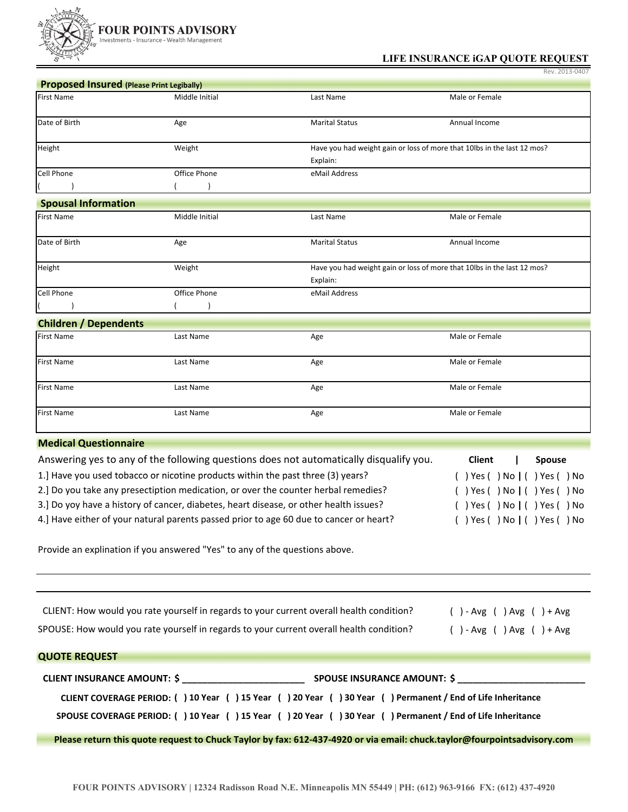

## **LIFE INSURANCE iGAP QUOTE REQUEST**

Rev. 2013‐0407

| <b>Proposed Insured (Please Print Legibally)</b>                                                                                                         |                |                                                                                          |                                |  |  |  |
|----------------------------------------------------------------------------------------------------------------------------------------------------------|----------------|------------------------------------------------------------------------------------------|--------------------------------|--|--|--|
| <b>First Name</b>                                                                                                                                        | Middle Initial | Last Name                                                                                | Male or Female                 |  |  |  |
| Date of Birth                                                                                                                                            | Age            | <b>Marital Status</b>                                                                    | Annual Income                  |  |  |  |
| Height                                                                                                                                                   | Weight         | Have you had weight gain or loss of more that 10lbs in the last 12 mos?                  |                                |  |  |  |
|                                                                                                                                                          |                | Explain:                                                                                 |                                |  |  |  |
| Cell Phone                                                                                                                                               | Office Phone   | eMail Address                                                                            |                                |  |  |  |
|                                                                                                                                                          |                |                                                                                          |                                |  |  |  |
| <b>Spousal Information</b>                                                                                                                               |                |                                                                                          |                                |  |  |  |
| <b>First Name</b>                                                                                                                                        | Middle Initial | Last Name                                                                                | Male or Female                 |  |  |  |
| Date of Birth                                                                                                                                            | Age            | <b>Marital Status</b>                                                                    | Annual Income                  |  |  |  |
| Height                                                                                                                                                   | Weight         | Have you had weight gain or loss of more that 10lbs in the last 12 mos?                  |                                |  |  |  |
| Cell Phone                                                                                                                                               | Office Phone   | Explain:<br>eMail Address                                                                |                                |  |  |  |
|                                                                                                                                                          |                |                                                                                          |                                |  |  |  |
|                                                                                                                                                          |                |                                                                                          |                                |  |  |  |
| <b>Children / Dependents</b><br><b>First Name</b>                                                                                                        | Last Name      |                                                                                          | Male or Female                 |  |  |  |
|                                                                                                                                                          |                | Age                                                                                      |                                |  |  |  |
| <b>First Name</b>                                                                                                                                        | Last Name      | Age                                                                                      | Male or Female                 |  |  |  |
| First Name                                                                                                                                               | Last Name      | Age                                                                                      | Male or Female                 |  |  |  |
| <b>First Name</b>                                                                                                                                        | Last Name      | Age                                                                                      | Male or Female                 |  |  |  |
| <b>Medical Questionnaire</b>                                                                                                                             |                |                                                                                          |                                |  |  |  |
|                                                                                                                                                          |                | Answering yes to any of the following questions does not automatically disqualify you.   | <b>Client</b><br><b>Spouse</b> |  |  |  |
| 1.] Have you used tobacco or nicotine products within the past three (3) years?<br>( ) Yes ( ) No   ( ) Yes ( ) No                                       |                |                                                                                          |                                |  |  |  |
| 2.] Do you take any presectiption medication, or over the counter herbal remedies?<br>( ) Yes ( ) No ( ) Yes ( ) No                                      |                |                                                                                          |                                |  |  |  |
| 3.] Do yoy have a history of cancer, diabetes, heart disease, or other health issues?                                                                    |                |                                                                                          |                                |  |  |  |
| ( ) Yes ( ) No ( ) Yes ( ) No<br>4.] Have either of your natural parents passed prior to age 60 due to cancer or heart?<br>( ) Yes ( ) No ( ) Yes ( ) No |                |                                                                                          |                                |  |  |  |
| Provide an explination if you answered "Yes" to any of the questions above.                                                                              |                |                                                                                          |                                |  |  |  |
|                                                                                                                                                          |                |                                                                                          |                                |  |  |  |
|                                                                                                                                                          |                | CLIENT: How would you rate yourself in regards to your current overall health condition? | $( ) - Avg ( ) Avg ( ) + Avg$  |  |  |  |
|                                                                                                                                                          |                | SPOUSE: How would you rate yourself in regards to your current overall health condition? | $( ) - Avg ( ) Avg ( ) + Avg$  |  |  |  |
| <b>QUOTE REQUEST</b>                                                                                                                                     |                |                                                                                          |                                |  |  |  |
|                                                                                                                                                          |                |                                                                                          |                                |  |  |  |
| CLIENT COVERAGE PERIOD: () 10 Year () 15 Year () 20 Year () 30 Year () Permanent / End of Life Inheritance                                               |                |                                                                                          |                                |  |  |  |
| SPOUSE COVERAGE PERIOD: () 10 Year () 15 Year () 20 Year () 30 Year () Permanent / End of Life Inheritance                                               |                |                                                                                          |                                |  |  |  |
| Please return this quote request to Chuck Taylor by fax: 612-437-4920 or via email: chuck.taylor@fourpointsadvisory.com                                  |                |                                                                                          |                                |  |  |  |
|                                                                                                                                                          |                |                                                                                          |                                |  |  |  |